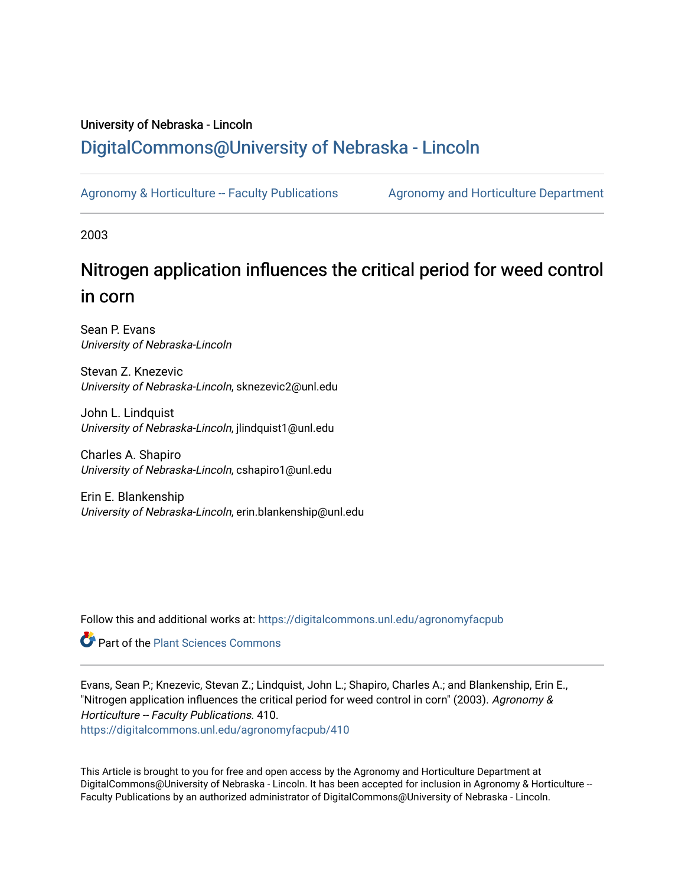### University of Nebraska - Lincoln [DigitalCommons@University of Nebraska - Lincoln](https://digitalcommons.unl.edu/)

[Agronomy & Horticulture -- Faculty Publications](https://digitalcommons.unl.edu/agronomyfacpub) Agronomy and Horticulture Department

2003

# Nitrogen application influences the critical period for weed control in corn

Sean P. Evans University of Nebraska-Lincoln

Stevan Z. Knezevic University of Nebraska-Lincoln, sknezevic2@unl.edu

John L. Lindquist University of Nebraska-Lincoln, jlindquist1@unl.edu

Charles A. Shapiro University of Nebraska-Lincoln, cshapiro1@unl.edu

Erin E. Blankenship University of Nebraska-Lincoln, erin.blankenship@unl.edu

Follow this and additional works at: [https://digitalcommons.unl.edu/agronomyfacpub](https://digitalcommons.unl.edu/agronomyfacpub?utm_source=digitalcommons.unl.edu%2Fagronomyfacpub%2F410&utm_medium=PDF&utm_campaign=PDFCoverPages)

**Part of the [Plant Sciences Commons](http://network.bepress.com/hgg/discipline/102?utm_source=digitalcommons.unl.edu%2Fagronomyfacpub%2F410&utm_medium=PDF&utm_campaign=PDFCoverPages)** 

Evans, Sean P.; Knezevic, Stevan Z.; Lindquist, John L.; Shapiro, Charles A.; and Blankenship, Erin E., "Nitrogen application influences the critical period for weed control in corn" (2003). Agronomy & Horticulture -- Faculty Publications. 410.

[https://digitalcommons.unl.edu/agronomyfacpub/410](https://digitalcommons.unl.edu/agronomyfacpub/410?utm_source=digitalcommons.unl.edu%2Fagronomyfacpub%2F410&utm_medium=PDF&utm_campaign=PDFCoverPages)

This Article is brought to you for free and open access by the Agronomy and Horticulture Department at DigitalCommons@University of Nebraska - Lincoln. It has been accepted for inclusion in Agronomy & Horticulture --Faculty Publications by an authorized administrator of DigitalCommons@University of Nebraska - Lincoln.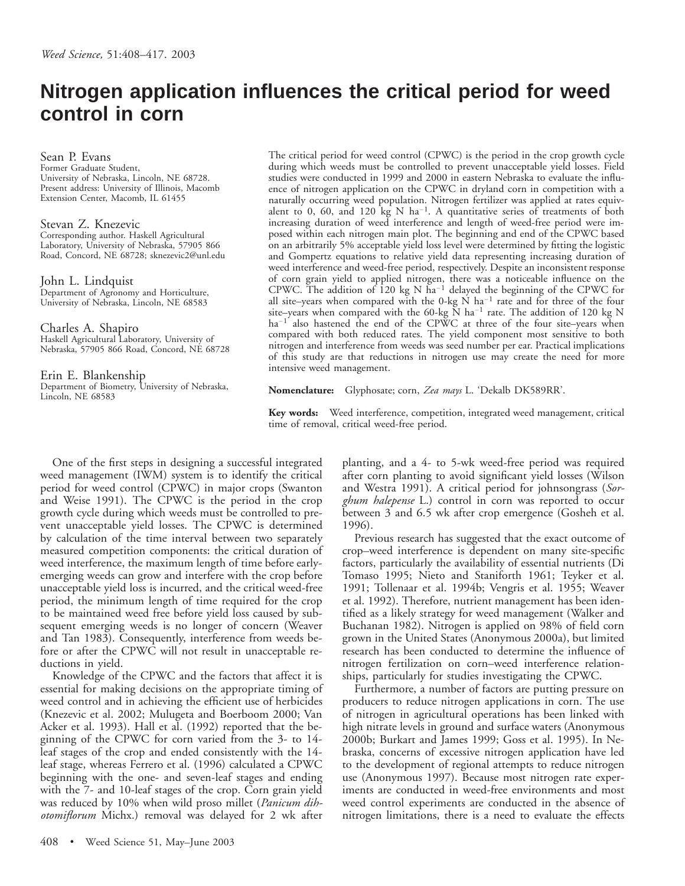## **Nitrogen application influences the critical period for weed control in corn**

Sean P. Evans Former Graduate Student, University of Nebraska, Lincoln, NE 68728. Present address: University of Illinois, Macomb Extension Center, Macomb, IL 61455

Stevan Z. Knezevic Corresponding author. Haskell Agricultural Laboratory, University of Nebraska, 57905 866 Road, Concord, NE 68728; sknezevic2@unl.edu

John L. Lindquist Department of Agronomy and Horticulture, University of Nebraska, Lincoln, NE 68583

Charles A. Shapiro Haskell Agricultural Laboratory, University of Nebraska, 57905 866 Road, Concord, NE 68728

Erin E. Blankenship Department of Biometry, University of Nebraska, Lincoln, NE 68583

The critical period for weed control (CPWC) is the period in the crop growth cycle during which weeds must be controlled to prevent unacceptable yield losses. Field studies were conducted in 1999 and 2000 in eastern Nebraska to evaluate the influence of nitrogen application on the CPWC in dryland corn in competition with a naturally occurring weed population. Nitrogen fertilizer was applied at rates equivalent to 0, 60, and 120 kg N ha<sup>-1</sup>. A quantitative series of treatments of both increasing duration of weed interference and length of weed-free period were imposed within each nitrogen main plot. The beginning and end of the CPWC based on an arbitrarily 5% acceptable yield loss level were determined by fitting the logistic and Gompertz equations to relative yield data representing increasing duration of weed interference and weed-free period, respectively. Despite an inconsistent response of corn grain yield to applied nitrogen, there was a noticeable influence on the CPWC. The addition of  $120 \text{ kg}$  N ha<sup>-1</sup> delayed the beginning of the CPWC for all site–years when compared with the 0-kg  $\dot{N}$  ha<sup>-1</sup> rate and for three of the four site–years when compared with the 60-kg  $\mathrm{\check{N}}$  ha<sup>-1</sup> rate. The addition of 120 kg  $\mathrm{\check{N}}$  $ha^{-1}$  also hastened the end of the CPWC at three of the four site–years when compared with both reduced rates. The yield component most sensitive to both nitrogen and interference from weeds was seed number per ear. Practical implications of this study are that reductions in nitrogen use may create the need for more intensive weed management.

**Nomenclature:** Glyphosate; corn, *Zea mays* L. 'Dekalb DK589RR'.

**Key words:** Weed interference, competition, integrated weed management, critical time of removal, critical weed-free period.

One of the first steps in designing a successful integrated weed management (IWM) system is to identify the critical period for weed control (CPWC) in major crops (Swanton and Weise 1991). The CPWC is the period in the crop growth cycle during which weeds must be controlled to prevent unacceptable yield losses. The CPWC is determined by calculation of the time interval between two separately measured competition components: the critical duration of weed interference, the maximum length of time before earlyemerging weeds can grow and interfere with the crop before unacceptable yield loss is incurred, and the critical weed-free period, the minimum length of time required for the crop to be maintained weed free before yield loss caused by subsequent emerging weeds is no longer of concern (Weaver and Tan 1983). Consequently, interference from weeds before or after the CPWC will not result in unacceptable reductions in yield.

Knowledge of the CPWC and the factors that affect it is essential for making decisions on the appropriate timing of weed control and in achieving the efficient use of herbicides (Knezevic et al. 2002; Mulugeta and Boerboom 2000; Van Acker et al. 1993). Hall et al. (1992) reported that the beginning of the CPWC for corn varied from the 3- to 14 leaf stages of the crop and ended consistently with the 14 leaf stage, whereas Ferrero et al. (1996) calculated a CPWC beginning with the one- and seven-leaf stages and ending with the 7- and 10-leaf stages of the crop. Corn grain yield was reduced by 10% when wild proso millet (*Panicum dihotomiflorum* Michx.) removal was delayed for 2 wk after

408 • Weed Science 51, May–June 2003

planting, and a 4- to 5-wk weed-free period was required after corn planting to avoid significant yield losses (Wilson and Westra 1991). A critical period for johnsongrass (*Sorghum halepense* L.) control in corn was reported to occur between 3 and 6.5 wk after crop emergence (Gosheh et al. 1996).

Previous research has suggested that the exact outcome of crop–weed interference is dependent on many site-specific factors, particularly the availability of essential nutrients (Di Tomaso 1995; Nieto and Staniforth 1961; Teyker et al. 1991; Tollenaar et al. 1994b; Vengris et al. 1955; Weaver et al. 1992). Therefore, nutrient management has been identified as a likely strategy for weed management (Walker and Buchanan 1982). Nitrogen is applied on 98% of field corn grown in the United States (Anonymous 2000a), but limited research has been conducted to determine the influence of nitrogen fertilization on corn–weed interference relationships, particularly for studies investigating the CPWC.

Furthermore, a number of factors are putting pressure on producers to reduce nitrogen applications in corn. The use of nitrogen in agricultural operations has been linked with high nitrate levels in ground and surface waters (Anonymous 2000b; Burkart and James 1999; Goss et al. 1995). In Nebraska, concerns of excessive nitrogen application have led to the development of regional attempts to reduce nitrogen use (Anonymous 1997). Because most nitrogen rate experiments are conducted in weed-free environments and most weed control experiments are conducted in the absence of nitrogen limitations, there is a need to evaluate the effects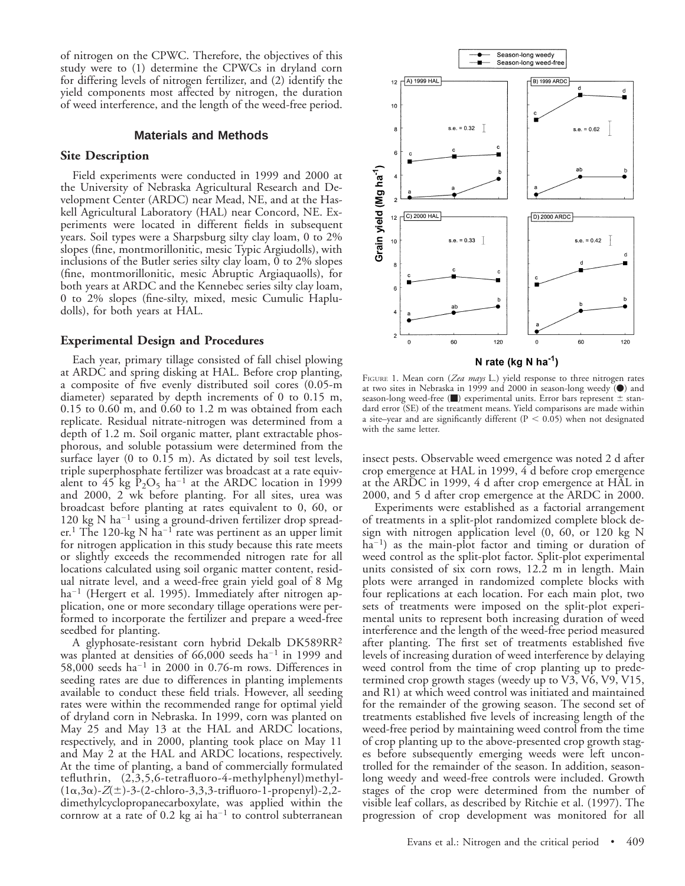of nitrogen on the CPWC. Therefore, the objectives of this study were to (1) determine the CPWCs in dryland corn for differing levels of nitrogen fertilizer, and (2) identify the yield components most affected by nitrogen, the duration of weed interference, and the length of the weed-free period.

#### **Materials and Methods**

#### **Site Description**

Field experiments were conducted in 1999 and 2000 at the University of Nebraska Agricultural Research and Development Center (ARDC) near Mead, NE, and at the Haskell Agricultural Laboratory (HAL) near Concord, NE. Experiments were located in different fields in subsequent years. Soil types were a Sharpsburg silty clay loam, 0 to 2% slopes (fine, montmorillonitic, mesic Typic Argiudolls), with inclusions of the Butler series silty clay loam, 0 to 2% slopes (fine, montmorillonitic, mesic Abruptic Argiaquaolls), for both years at ARDC and the Kennebec series silty clay loam, 0 to 2% slopes (fine-silty, mixed, mesic Cumulic Hapludolls), for both years at HAL.

#### **Experimental Design and Procedures**

Each year, primary tillage consisted of fall chisel plowing at ARDC and spring disking at HAL. Before crop planting, a composite of five evenly distributed soil cores (0.05-m diameter) separated by depth increments of 0 to 0.15 m, 0.15 to 0.60 m, and 0.60 to 1.2 m was obtained from each replicate. Residual nitrate-nitrogen was determined from a depth of 1.2 m. Soil organic matter, plant extractable phosphorous, and soluble potassium were determined from the surface layer (0 to 0.15 m). As dictated by soil test levels, triple superphosphate fertilizer was broadcast at a rate equivalent to 45 kg  $\rm \tilde{P}_2O_5$  ha<sup>-1</sup> at the ARDC location in 1999 and 2000, 2 wk before planting. For all sites, urea was broadcast before planting at rates equivalent to 0, 60, or 120 kg N ha<sup>-1</sup> using a ground-driven fertilizer drop spreader.<sup>1</sup> The 120-kg N ha<sup>-1</sup> rate was pertinent as an upper limit for nitrogen application in this study because this rate meets or slightly exceeds the recommended nitrogen rate for all locations calculated using soil organic matter content, residual nitrate level, and a weed-free grain yield goal of 8 Mg ha<sup>-1</sup> (Hergert et al. 1995). Immediately after nitrogen application, one or more secondary tillage operations were performed to incorporate the fertilizer and prepare a weed-free seedbed for planting.

A glyphosate-resistant corn hybrid Dekalb DK589RR2 was planted at densities of  $66,000$  seeds ha<sup>-1</sup> in 1999 and 58,000 seeds ha<sup>-1</sup> in 2000 in 0.76-m rows. Differences in seeding rates are due to differences in planting implements available to conduct these field trials. However, all seeding rates were within the recommended range for optimal yield of dryland corn in Nebraska. In 1999, corn was planted on May 25 and May 13 at the HAL and ARDC locations, respectively, and in 2000, planting took place on May 11 and May 2 at the HAL and ARDC locations, respectively. At the time of planting, a band of commercially formulated tefluthrin, (2,3,5,6-tetrafluoro-4-methylphenyl)methyl-  $(1\alpha,3\alpha)$ - $Z(\pm)$ -3-(2-chloro-3,3,3-trifluoro-1-propenyl)-2,2dimethylcyclopropanecarboxylate, was applied within the cornrow at a rate of 0.2 kg ai  $ha^{-1}$  to control subterranean



N rate (kg N  $ha^{-1}$ )

FIGURE 1. Mean corn (*Zea mays* L.) yield response to three nitrogen rates at two sites in Nebraska in 1999 and 2000 in season-long weedy  $\ddot{O}$  and season-long weed-free  $(\blacksquare)$  experimental units. Error bars represent  $\pm$  standard error (SE) of the treatment means. Yield comparisons are made within a site–year and are significantly different ( $P < 0.05$ ) when not designated with the same letter.

insect pests. Observable weed emergence was noted 2 d after crop emergence at HAL in 1999, 4 d before crop emergence at the ARDC in 1999, 4 d after crop emergence at HAL in 2000, and 5 d after crop emergence at the ARDC in 2000.

Experiments were established as a factorial arrangement of treatments in a split-plot randomized complete block design with nitrogen application level (0, 60, or 120 kg N  $ha^{-1}$ ) as the main-plot factor and timing or duration of weed control as the split-plot factor. Split-plot experimental units consisted of six corn rows, 12.2 m in length. Main plots were arranged in randomized complete blocks with four replications at each location. For each main plot, two sets of treatments were imposed on the split-plot experimental units to represent both increasing duration of weed interference and the length of the weed-free period measured after planting. The first set of treatments established five levels of increasing duration of weed interference by delaying weed control from the time of crop planting up to predetermined crop growth stages (weedy up to V3, V6, V9, V15, and R1) at which weed control was initiated and maintained for the remainder of the growing season. The second set of treatments established five levels of increasing length of the weed-free period by maintaining weed control from the time of crop planting up to the above-presented crop growth stages before subsequently emerging weeds were left uncontrolled for the remainder of the season. In addition, seasonlong weedy and weed-free controls were included. Growth stages of the crop were determined from the number of visible leaf collars, as described by Ritchie et al. (1997). The progression of crop development was monitored for all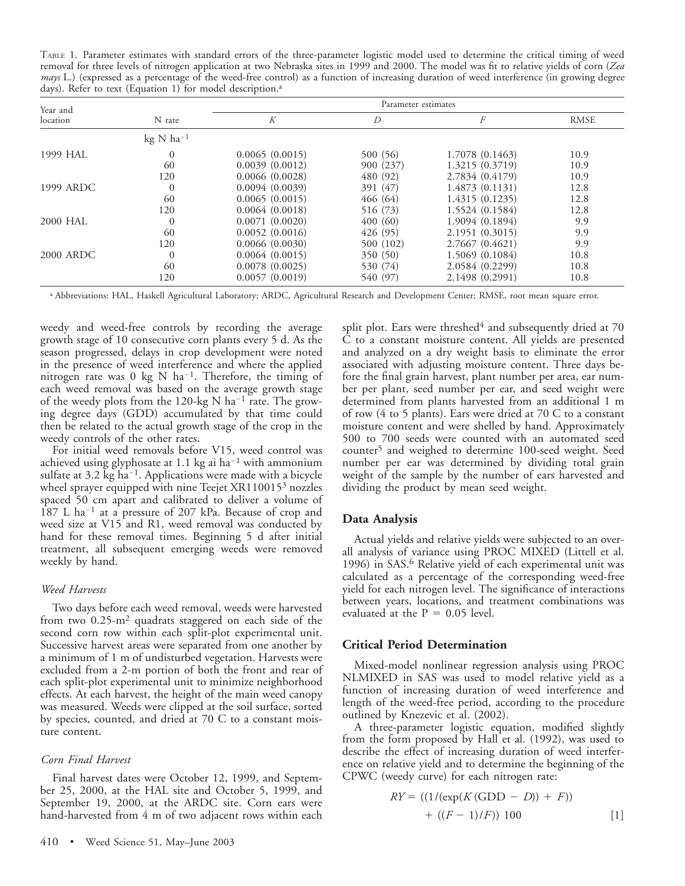TABLE 1. Parameter estimates with standard errors of the three-parameter logistic model used to determine the critical timing of weed removal for three levels of nitrogen application at two Nebraska sites in 1999 and 2000. The model was fit to relative yields of corn (*Zea mays* L.) (expressed as a percentage of the weed-free control) as a function of increasing duration of weed interference (in growing degree days). Refer to text (Equation 1) for model description.<sup>a</sup>

| Year and  |                | Parameter estimates |           |                  |             |  |  |  |  |
|-----------|----------------|---------------------|-----------|------------------|-------------|--|--|--|--|
| location  | N rate         | K                   | D         | $\boldsymbol{F}$ | <b>RMSE</b> |  |  |  |  |
|           | $kg N ha^{-1}$ |                     |           |                  |             |  |  |  |  |
| 1999 HAL  | $\Omega$       | 0.0065(0.0015)      | 500 (56)  | 1.7078 (0.1463)  | 10.9        |  |  |  |  |
|           | 60             | 0.0039(0.0012)      | 900 (237) | 1.3215 (0.3719)  | 10.9        |  |  |  |  |
|           | 120            | 0.0066(0.0028)      | 480 (92)  | 2.7834 (0.4179)  | 10.9        |  |  |  |  |
| 1999 ARDC | $\overline{0}$ | 0.0094(0.0039)      | 391 (47)  | 1.4873(0.1131)   | 12.8        |  |  |  |  |
|           | 60             | 0.0065(0.0015)      | 466 (64)  | 1.4315 (0.1235)  | 12.8        |  |  |  |  |
|           | 120            | 0.0064(0.0018)      | 516 (73)  | 1.5524 (0.1584)  | 12.8        |  |  |  |  |
| 2000 HAL  | $\theta$       | 0.0071(0.0020)      | 400(60)   | 1.9094 (0.1894)  | 9.9         |  |  |  |  |
|           | 60             | 0.0052(0.0016)      | 426 (95)  | 2.1951 (0.3015)  | 9.9         |  |  |  |  |
|           | 120            | 0.0066(0.0030)      | 500 (102) | 2.7667 (0.4621)  | 9.9         |  |  |  |  |
| 2000 ARDC | $\Omega$       | 0.0064(0.0015)      | 350 (50)  | 1.5069 (0.1084)  | 10.8        |  |  |  |  |
|           | 60             | 0.0078(0.0025)      | 530 (74)  | 2.0584 (0.2299)  | 10.8        |  |  |  |  |
|           | 120            | 0.0057(0.0019)      | 540 (97)  | 2.1498 (0.2991)  | 10.8        |  |  |  |  |

<sup>a</sup> Abbreviations: HAL, Haskell Agricultural Laboratory; ARDC, Agricultural Research and Development Center; RMSE, root mean square error.

weedy and weed-free controls by recording the average growth stage of 10 consecutive corn plants every 5 d. As the season progressed, delays in crop development were noted in the presence of weed interference and where the applied nitrogen rate was 0 kg N ha<sup>-1</sup>. Therefore, the timing of each weed removal was based on the average growth stage of the weedy plots from the 120-kg N ha<sup>-1</sup> rate. The growing degree days (GDD) accumulated by that time could then be related to the actual growth stage of the crop in the weedy controls of the other rates.

For initial weed removals before V15, weed control was achieved using glyphosate at 1.1 kg ai ha<sup>-1</sup> with ammonium sulfate at 3.2 kg ha<sup>-1</sup>. Applications were made with a bicycle wheel sprayer equipped with nine Teejet XR110015<sup>3</sup> nozzles spaced 50 cm apart and calibrated to deliver a volume of 187 L ha<sup>-1</sup> at a pressure of 207 kPa. Because of crop and weed size at V15 and R1, weed removal was conducted by hand for these removal times. Beginning 5 d after initial treatment, all subsequent emerging weeds were removed weekly by hand.

#### *Weed Harvests*

Two days before each weed removal, weeds were harvested from two 0.25-m2 quadrats staggered on each side of the second corn row within each split-plot experimental unit. Successive harvest areas were separated from one another by a minimum of 1 m of undisturbed vegetation. Harvests were excluded from a 2-m portion of both the front and rear of each split-plot experimental unit to minimize neighborhood effects. At each harvest, the height of the main weed canopy was measured. Weeds were clipped at the soil surface, sorted by species, counted, and dried at 70 C to a constant moisture content.

#### *Corn Final Harvest*

Final harvest dates were October 12, 1999, and September 25, 2000, at the HAL site and October 5, 1999, and September 19, 2000, at the ARDC site. Corn ears were hand-harvested from 4 m of two adjacent rows within each split plot. Ears were threshed<sup>4</sup> and subsequently dried at  $70$ C to a constant moisture content. All yields are presented and analyzed on a dry weight basis to eliminate the error associated with adjusting moisture content. Three days before the final grain harvest, plant number per area, ear number per plant, seed number per ear, and seed weight were determined from plants harvested from an additional 1 m of row (4 to 5 plants). Ears were dried at 70 C to a constant moisture content and were shelled by hand. Approximately 500 to 700 seeds were counted with an automated seed counter<sup>5</sup> and weighed to determine 100-seed weight. Seed number per ear was determined by dividing total grain weight of the sample by the number of ears harvested and dividing the product by mean seed weight.

#### **Data Analysis**

Actual yields and relative yields were subjected to an overall analysis of variance using PROC MIXED (Littell et al. 1996) in SAS.6 Relative yield of each experimental unit was calculated as a percentage of the corresponding weed-free yield for each nitrogen level. The significance of interactions between years, locations, and treatment combinations was evaluated at the  $P = 0.05$  level.

#### **Critical Period Determination**

Mixed-model nonlinear regression analysis using PROC NLMIXED in SAS was used to model relative yield as a function of increasing duration of weed interference and length of the weed-free period, according to the procedure outlined by Knezevic et al. (2002).

A three-parameter logistic equation, modified slightly from the form proposed by Hall et al. (1992), was used to describe the effect of increasing duration of weed interference on relative yield and to determine the beginning of the CPWC (weedy curve) for each nitrogen rate:

$$
RY = ((1/(\exp(K(\text{GDD} - D)) + F))+ ((F - 1)/F)) 100
$$
 [1]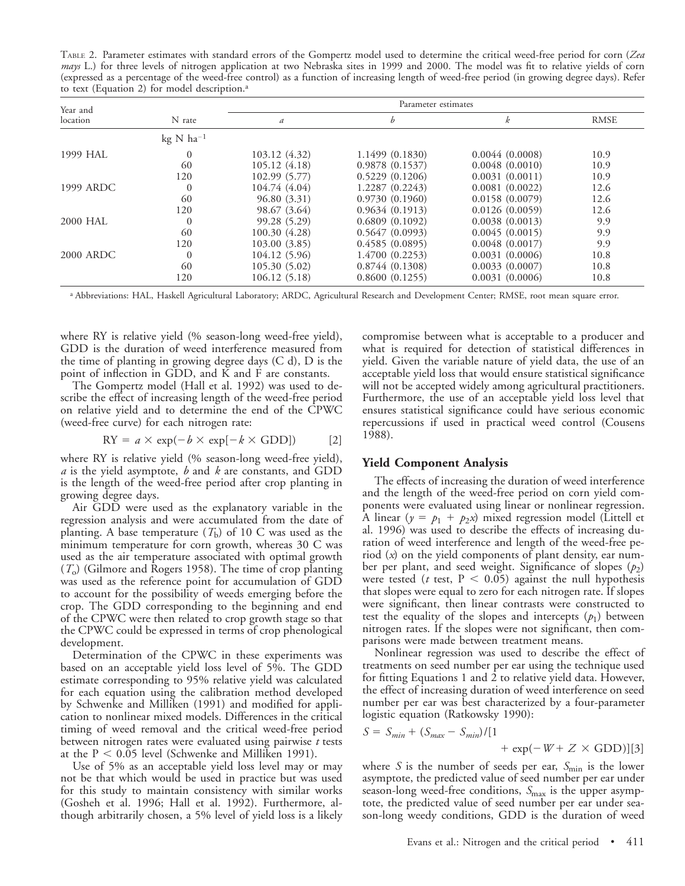TABLE 2. Parameter estimates with standard errors of the Gompertz model used to determine the critical weed-free period for corn (*Zea mays* L.) for three levels of nitrogen application at two Nebraska sites in 1999 and 2000. The model was fit to relative yields of corn (expressed as a percentage of the weed-free control) as a function of increasing length of weed-free period (in growing degree days). Refer to text (Equation 2) for model description.<sup>a</sup>

| Year and         |                                 | Parameter estimates |                 |                |             |  |  |  |
|------------------|---------------------------------|---------------------|-----------------|----------------|-------------|--|--|--|
| location         | N rate                          | $\boldsymbol{a}$    | b               | k              | <b>RMSE</b> |  |  |  |
|                  | $kg \text{ N}$ ha <sup>-1</sup> |                     |                 |                |             |  |  |  |
| 1999 HAL         | $\theta$                        | 103.12 (4.32)       | 1.1499 (0.1830) | 0.0044(0.0008) | 10.9        |  |  |  |
|                  | 60                              | 105.12(4.18)        | 0.9878(0.1537)  | 0.0048(0.0010) | 10.9        |  |  |  |
|                  | 120                             | 102.99(5.77)        | 0.5229(0.1206)  | 0.0031(0.0011) | 10.9        |  |  |  |
| 1999 ARDC        | $\theta$                        | 104.74 (4.04)       | 1.2287 (0.2243) | 0.0081(0.0022) | 12.6        |  |  |  |
|                  | 60                              | 96.80(3.31)         | 0.9730(0.1960)  | 0.0158(0.0079) | 12.6        |  |  |  |
|                  | 120                             | 98.67 (3.64)        | 0.9634(0.1913)  | 0.0126(0.0059) | 12.6        |  |  |  |
| 2000 HAL         | $\theta$                        | 99.28 (5.29)        | 0.6809(0.1092)  | 0.0038(0.0013) | 9.9         |  |  |  |
|                  | 60                              | 100.30(4.28)        | 0.5647(0.0993)  | 0.0045(0.0015) | 9.9         |  |  |  |
|                  | 120                             | 103.00(3.85)        | 0.4585(0.0895)  | 0.0048(0.0017) | 9.9         |  |  |  |
| <b>2000 ARDC</b> | $\theta$                        | 104.12 (5.96)       | 1.4700 (0.2253) | 0.0031(0.0006) | 10.8        |  |  |  |
|                  | 60                              | 105.30(5.02)        | 0.8744(0.1308)  | 0.0033(0.0007) | 10.8        |  |  |  |
|                  | 120                             | 106.12(5.18)        | 0.8600(0.1255)  | 0.0031(0.0006) | 10.8        |  |  |  |

<sup>a</sup> Abbreviations: HAL, Haskell Agricultural Laboratory; ARDC, Agricultural Research and Development Center; RMSE, root mean square error.

where RY is relative yield (% season-long weed-free yield), GDD is the duration of weed interference measured from the time of planting in growing degree days (C d), D is the point of inflection in GDD, and K and F are constants.

The Gompertz model (Hall et al. 1992) was used to describe the effect of increasing length of the weed-free period on relative yield and to determine the end of the CPWC (weed-free curve) for each nitrogen rate:

$$
RY = a \times \exp(-b \times \exp[-k \times \text{GDD}])
$$
 [2]

where RY is relative yield (% season-long weed-free yield), *a* is the yield asymptote, *b* and *k* are constants, and GDD is the length of the weed-free period after crop planting in growing degree days.

Air GDD were used as the explanatory variable in the regression analysis and were accumulated from the date of planting. A base temperature  $(T<sub>b</sub>)$  of 10 C was used as the minimum temperature for corn growth, whereas 30 C was used as the air temperature associated with optimal growth  $(T<sub>o</sub>)$  (Gilmore and Rogers 1958). The time of crop planting was used as the reference point for accumulation of GDD to account for the possibility of weeds emerging before the crop. The GDD corresponding to the beginning and end of the CPWC were then related to crop growth stage so that the CPWC could be expressed in terms of crop phenological development.

Determination of the CPWC in these experiments was based on an acceptable yield loss level of 5%. The GDD estimate corresponding to 95% relative yield was calculated for each equation using the calibration method developed by Schwenke and Milliken (1991) and modified for application to nonlinear mixed models. Differences in the critical timing of weed removal and the critical weed-free period between nitrogen rates were evaluated using pairwise *t* tests at the  $P < 0.05$  level (Schwenke and Milliken 1991).

Use of 5% as an acceptable yield loss level may or may not be that which would be used in practice but was used for this study to maintain consistency with similar works (Gosheh et al. 1996; Hall et al. 1992). Furthermore, although arbitrarily chosen, a 5% level of yield loss is a likely compromise between what is acceptable to a producer and what is required for detection of statistical differences in yield. Given the variable nature of yield data, the use of an acceptable yield loss that would ensure statistical significance will not be accepted widely among agricultural practitioners. Furthermore, the use of an acceptable yield loss level that ensures statistical significance could have serious economic repercussions if used in practical weed control (Cousens 1988).

#### **Yield Component Analysis**

The effects of increasing the duration of weed interference and the length of the weed-free period on corn yield components were evaluated using linear or nonlinear regression. A linear  $(y = p_1 + p_2x)$  mixed regression model (Littell et al. 1996) was used to describe the effects of increasing duration of weed interference and length of the weed-free period (*x*) on the yield components of plant density, ear number per plant, and seed weight. Significance of slopes ( $p_2$ ) were tested ( $t$  test,  $P < 0.05$ ) against the null hypothesis that slopes were equal to zero for each nitrogen rate. If slopes were significant, then linear contrasts were constructed to test the equality of the slopes and intercepts  $(p_1)$  between nitrogen rates. If the slopes were not significant, then comparisons were made between treatment means.

Nonlinear regression was used to describe the effect of treatments on seed number per ear using the technique used for fitting Equations 1 and  $\hat{2}$  to relative yield data. However, the effect of increasing duration of weed interference on seed number per ear was best characterized by a four-parameter logistic equation (Ratkowsky 1990):

$$
S = S_{min} + (S_{max} - S_{min})/[1
$$
  
+ exp(-*W*+*Z* × GDD)][3]

where *S* is the number of seeds per ear,  $S_{\text{min}}$  is the lower asymptote, the predicted value of seed number per ear under season-long weed-free conditions, S<sub>max</sub> is the upper asymptote, the predicted value of seed number per ear under season-long weedy conditions, GDD is the duration of weed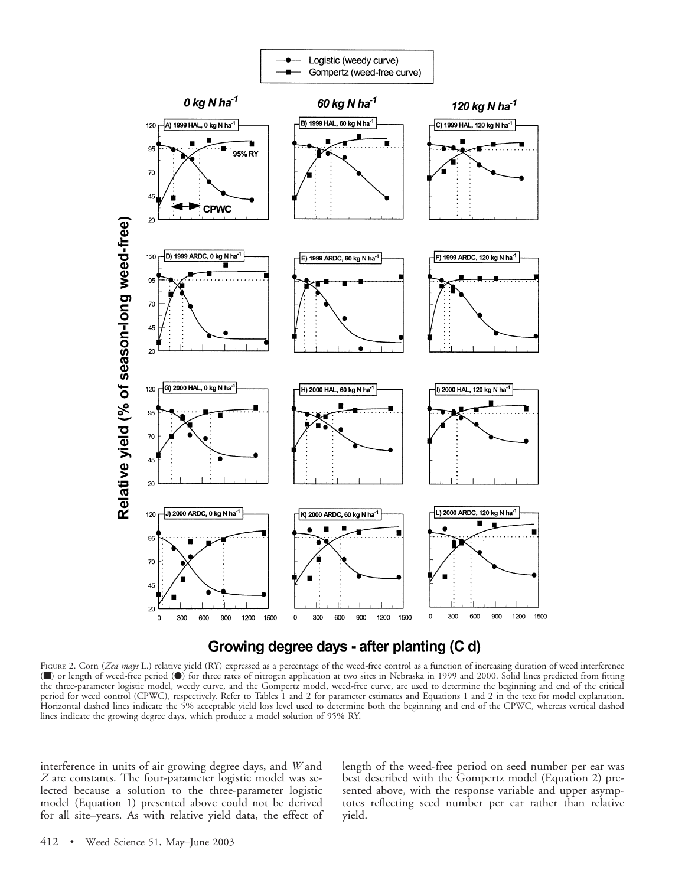

### Growing degree days - after planting (C d)

FIGURE 2. Corn (*Zea mays* L.) relative yield (RY) expressed as a percentage of the weed-free control as a function of increasing duration of weed interference (m) or length of weed-free period (v) for three rates of nitrogen application at two sites in Nebraska in 1999 and 2000. Solid lines predicted from fitting the three-parameter logistic model, weedy curve, and the Gompertz model, weed-free curve, are used to determine the beginning and end of the critical period for weed control (CPWC), respectively. Refer to Tables 1 and 2 for parameter estimates and Equations 1 and 2 in the text for model explanation. Horizontal dashed lines indicate the 5% acceptable yield loss level used to determine both the beginning and end of the CPWC, whereas vertical dashed lines indicate the growing degree days, which produce a model solution of 95% RY.

interference in units of air growing degree days, and *W* and *Z* are constants. The four-parameter logistic model was selected because a solution to the three-parameter logistic model (Equation 1) presented above could not be derived for all site–years. As with relative yield data, the effect of length of the weed-free period on seed number per ear was best described with the Gompertz model (Equation 2) presented above, with the response variable and upper asymptotes reflecting seed number per ear rather than relative yield.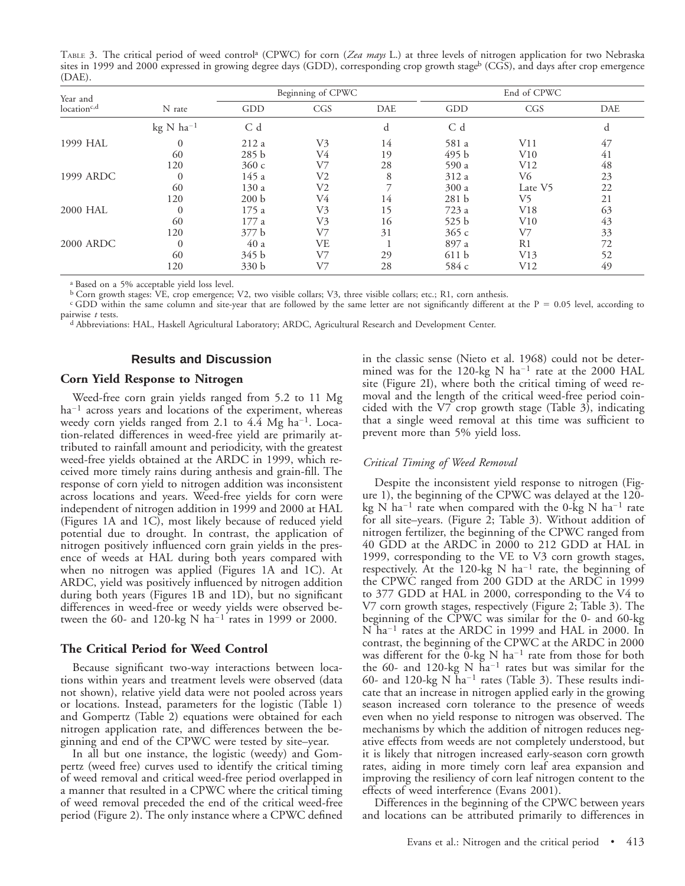TABLE 3. The critical period of weed controla (CPWC) for corn (*Zea mays* L.) at three levels of nitrogen application for two Nebraska sites in 1999 and 2000 expressed in growing degree days (GDD), corresponding crop growth stageb (CGS), and days after crop emergence (DAE).

| Year and                |                | Beginning of CPWC |     |     | End of CPWC      |         |            |
|-------------------------|----------------|-------------------|-----|-----|------------------|---------|------------|
| location <sup>c,d</sup> | N rate         | GDD               | CGS | DAE | GDD              | CGS     | <b>DAE</b> |
|                         | $kg N ha^{-1}$ | C d               |     | d   | C d              |         | d          |
| 1999 HAL                |                | 212a              | V3  | 14  | 581 a            | V11     | 47         |
|                         | 60             | 285 <sub>b</sub>  | V4  | 19  | 495 b            | V10     | 41         |
|                         | 120            | 360c              | V7  | 28  | 590 a            | V12     | 48         |
| 1999 ARDC               |                | 145 a             | V2  | 8   | 312 a            | V6      | 23         |
|                         | 60             | 130 a             | V2  |     | 300a             | Late V5 | 22         |
|                         | 120            | 200 b             | V4  | 14  | 281 <sub>b</sub> | V5      | 21         |
| 2000 HAL                |                | 175a              | V3  | 15  | 723 a            | V18     | 63         |
|                         | 60             | 177 a             | V3  | 16  | 525 <sub>b</sub> | V10     | 43         |
|                         | 120            | 377 b             | V7  | 31  | 365c             | V7      | 33         |
| <b>2000 ARDC</b>        | $\Omega$       | 40 a              | VE  |     | 897 a            | R1      | 72         |
|                         | 60             | 345 b             | V7  | 29  | 611 b            | V13     | 52         |
|                         | 120            | 330 b             | V7  | 28  | 584 c            | V12     | 49         |

<sup>a</sup> Based on a 5% acceptable yield loss level.

<sup>b</sup> Corn growth stages: VE, crop emergence; V2, two visible collars; V3, three visible collars; etc.; R1, corn anthesis.

<sup>c</sup> GDD within the same column and site-year that are followed by the same letter are not significantly different at the  $P = 0.05$  level, according to pairwise *t* tests.

<sup>d</sup> Abbreviations: HAL, Haskell Agricultural Laboratory; ARDC, Agricultural Research and Development Center.

#### **Results and Discussion**

#### **Corn Yield Response to Nitrogen**

Weed-free corn grain yields ranged from 5.2 to 11 Mg  $ha^{-1}$  across years and locations of the experiment, whereas weedy corn yields ranged from 2.1 to  $4.\overline{4}$  Mg ha<sup>-1</sup>. Location-related differences in weed-free yield are primarily attributed to rainfall amount and periodicity, with the greatest weed-free yields obtained at the ARDC in 1999, which received more timely rains during anthesis and grain-fill. The response of corn yield to nitrogen addition was inconsistent across locations and years. Weed-free yields for corn were independent of nitrogen addition in 1999 and 2000 at HAL (Figures 1A and 1C), most likely because of reduced yield potential due to drought. In contrast, the application of nitrogen positively influenced corn grain yields in the presence of weeds at HAL during both years compared with when no nitrogen was applied (Figures 1A and 1C). At ARDC, yield was positively influenced by nitrogen addition during both years (Figures 1B and 1D), but no significant differences in weed-free or weedy yields were observed between the 60- and 120-kg N ha<sup>-1</sup> rates in 1999 or 2000.

#### **The Critical Period for Weed Control**

Because significant two-way interactions between locations within years and treatment levels were observed (data not shown), relative yield data were not pooled across years or locations. Instead, parameters for the logistic (Table 1) and Gompertz (Table 2) equations were obtained for each nitrogen application rate, and differences between the beginning and end of the CPWC were tested by site–year.

In all but one instance, the logistic (weedy) and Gompertz (weed free) curves used to identify the critical timing of weed removal and critical weed-free period overlapped in a manner that resulted in a CPWC where the critical timing of weed removal preceded the end of the critical weed-free period (Figure 2). The only instance where a CPWC defined in the classic sense (Nieto et al. 1968) could not be determined was for the 120-kg N ha<sup>-1</sup> rate at the 2000 HAL site (Figure 2I), where both the critical timing of weed removal and the length of the critical weed-free period coincided with the V7 crop growth stage (Table 3), indicating that a single weed removal at this time was sufficient to prevent more than 5% yield loss.

#### *Critical Timing of Weed Removal*

Despite the inconsistent yield response to nitrogen (Figure 1), the beginning of the CPWC was delayed at the 120 kg N ha<sup>-1</sup> rate when compared with the 0-kg N ha<sup>-1</sup> rate for all site–years. (Figure 2; Table 3). Without addition of nitrogen fertilizer, the beginning of the CPWC ranged from 40 GDD at the ARDC in 2000 to 212 GDD at HAL in 1999, corresponding to the VE to V3 corn growth stages, respectively. At the 120-kg N ha<sup>-1</sup> rate, the beginning of the CPWC ranged from 200 GDD at the ARDC in 1999 to 377 GDD at HAL in 2000, corresponding to the V4 to V7 corn growth stages, respectively (Figure 2; Table 3). The beginning of the CPWC was similar for the 0- and 60-kg N ha<sup>-1</sup> rates at the ARDC in 1999 and HAL in 2000. In contrast, the beginning of the CPWC at the ARDC in 2000 was different for the  $0$ -kg N ha<sup>-1</sup> rate from those for both the 60- and 120-kg N  $\tilde{h}a^{-1}$  rates but was similar for the 60- and 120-kg N  $\bar{h}a^{-1}$  rates (Table 3). These results indicate that an increase in nitrogen applied early in the growing season increased corn tolerance to the presence of weeds even when no yield response to nitrogen was observed. The mechanisms by which the addition of nitrogen reduces negative effects from weeds are not completely understood, but it is likely that nitrogen increased early-season corn growth rates, aiding in more timely corn leaf area expansion and improving the resiliency of corn leaf nitrogen content to the effects of weed interference (Evans 2001).

Differences in the beginning of the CPWC between years and locations can be attributed primarily to differences in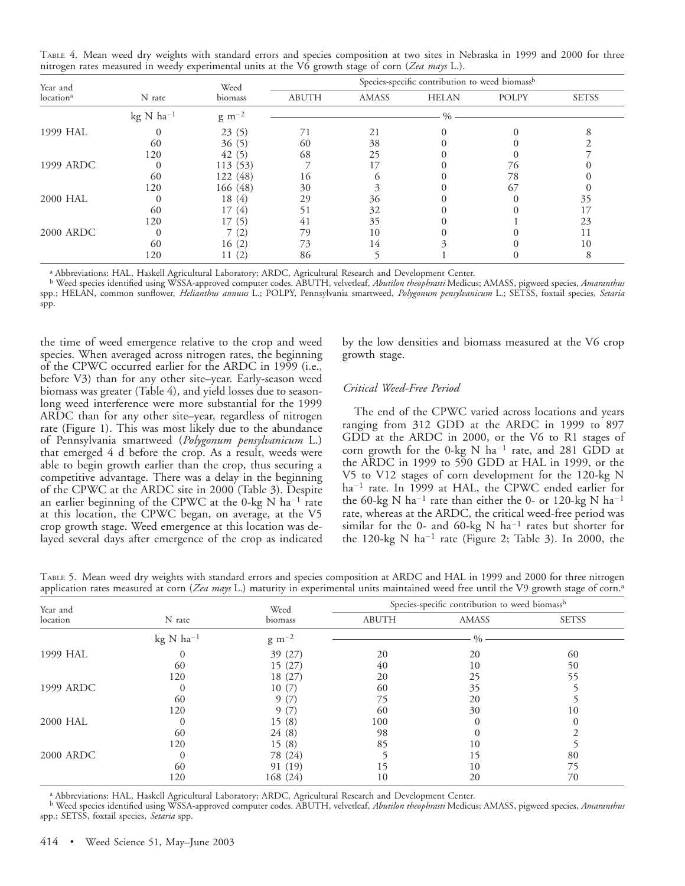TABLE 4. Mean weed dry weights with standard errors and species composition at two sites in Nebraska in 1999 and 2000 for three nitrogen rates measured in weedy experimental units at the V6 growth stage of corn (*Zea mays* L.).

| Year and<br>location <sup>a</sup> |                | Weed            | Species-specific contribution to weed biomass <sup>b</sup> |              |              |       |              |
|-----------------------------------|----------------|-----------------|------------------------------------------------------------|--------------|--------------|-------|--------------|
|                                   | N rate         | biomass         | <b>ABUTH</b>                                               | <b>AMASS</b> | <b>HELAN</b> | POLPY | <b>SETSS</b> |
|                                   | kg N $ha^{-1}$ | $\rm g\ m^{-2}$ |                                                            |              | 0/2          |       |              |
| 1999 HAL                          |                | 23(5)           |                                                            | 21           |              |       |              |
|                                   | 60             | 36(5)           | 60                                                         | 38           |              |       |              |
|                                   | 120            | 42(5)           | 68                                                         | 25           |              |       |              |
| 1999 ARDC                         |                | 113 (53)        |                                                            |              |              | 76    |              |
|                                   | 60             | 122 (48)        | 16                                                         |              |              | 78    |              |
|                                   | 120            | 166 (48)        | 30                                                         |              |              | 67    |              |
| 2000 HAL                          |                | 18(4)           | 29                                                         | 36           |              |       | 35           |
|                                   | 60             | (4)             |                                                            | 32           |              |       |              |
|                                   | 120            | (5)             | 41                                                         | 35           |              |       | 23           |
| <b>2000 ARDC</b>                  |                |                 | 79                                                         | 10           |              |       |              |
|                                   | 60             | 16(2)           | 73                                                         | 14           |              |       | 10           |
|                                   | 120            | (2)             | 86                                                         |              |              |       |              |

<sup>a</sup> Abbreviations: HAL, Haskell Agricultural Laboratory; ARDC, Agricultural Research and Development Center.

<sup>b</sup> Weed species identified using WSSA-approved computer codes. ABUTH, velvetleaf, *Abutilon theophrasti* Medicus; AMASS, pigweed species, *Amaranthus* spp.; HELAN, common sunflower, *Helianthus annuus* L.; POLPY, Pennsylvania smartweed, *Polygonum pensylvanicum* L.; SETSS, foxtail species, *Setaria* spp.

the time of weed emergence relative to the crop and weed species. When averaged across nitrogen rates, the beginning of the CPWC occurred earlier for the ARDC in 1999 (i.e., before V3) than for any other site–year. Early-season weed biomass was greater (Table 4), and yield losses due to seasonlong weed interference were more substantial for the 1999 ARDC than for any other site–year, regardless of nitrogen rate (Figure 1). This was most likely due to the abundance of Pennsylvania smartweed (*Polygonum pensylvanicum* L.) that emerged 4 d before the crop. As a result, weeds were able to begin growth earlier than the crop, thus securing a competitive advantage. There was a delay in the beginning of the CPWC at the ARDC site in 2000 (Table 3). Despite an earlier beginning of the CPWC at the 0-kg  $N$  ha<sup>-1</sup> rate at this location, the CPWC began, on average, at the V5 crop growth stage. Weed emergence at this location was delayed several days after emergence of the crop as indicated

by the low densities and biomass measured at the V6 crop growth stage.

#### *Critical Weed-Free Period*

The end of the CPWC varied across locations and years ranging from 312 GDD at the ARDC in 1999 to 897 GDD at the ARDC in 2000, or the V6 to R1 stages of corn growth for the 0-kg N ha<sup>-1</sup> rate, and 281 GDD at the ARDC in 1999 to 590 GDD at HAL in 1999, or the V5 to V12 stages of corn development for the 120-kg N ha<sup>-1</sup> rate. In 1999 at HAL, the CPWC ended earlier for the 60-kg N ha<sup>-1</sup> rate than either the 0- or 120-kg N ha<sup>-1</sup> rate, whereas at the ARDC, the critical weed-free period was similar for the 0- and 60-kg N ha<sup>-1</sup> rates but shorter for the 120-kg N ha<sup>-1</sup> rate (Figure 2; Table 3). In 2000, the

TABLE 5. Mean weed dry weights with standard errors and species composition at ARDC and HAL in 1999 and 2000 for three nitrogen application rates measured at corn (*Zea mays* L.) maturity in experimental units maintained weed free until the V9 growth stage of corn.<sup>a</sup>

| Year and         |                | Weed<br>biomass | Species-specific contribution to weed biomass <sup>b</sup> |              |              |  |
|------------------|----------------|-----------------|------------------------------------------------------------|--------------|--------------|--|
| location         | N rate         |                 | <b>ABUTH</b>                                               | <b>AMASS</b> | <b>SETSS</b> |  |
|                  | $kg N ha^{-1}$ | $\rm g\ m^{-2}$ |                                                            | $\%$         |              |  |
| 1999 HAL         |                | 39 (27)         | 20                                                         | 20           | 60           |  |
|                  | 60             | 15(27)          | 40                                                         | 10           | 50           |  |
|                  | 120            | 18 (27)         | 20                                                         | 25           | 55           |  |
| 1999 ARDC        |                | 10(7)           | 60                                                         | 35           |              |  |
|                  | 60             | - Q ,           | 75                                                         | 20           |              |  |
|                  | 120            |                 | 60                                                         | 30           | 10           |  |
| 2000 HAL         | 0              | 15(8)           | 100                                                        |              |              |  |
|                  | 60             | 24(8)           | 98                                                         |              |              |  |
|                  | 120            | 15(8)           | 85                                                         | 10           |              |  |
| <b>2000 ARDC</b> | $\theta$       | 78 (24)         |                                                            |              | 80           |  |
|                  | 60             | 91 (19)         | د،                                                         | 10           | 75           |  |
|                  | 120            | 168(24)         | 10                                                         | 20           | 70           |  |

<sup>a</sup> Abbreviations: HAL, Haskell Agricultural Laboratory; ARDC, Agricultural Research and Development Center.

<sup>b</sup> Weed species identified using WSSA-approved computer codes. ABUTH, velvetleaf, *Abutilon theophrasti* Medicus; AMASS, pigweed species, *Amaranthus* spp.; SETSS, foxtail species, *Setaria* spp.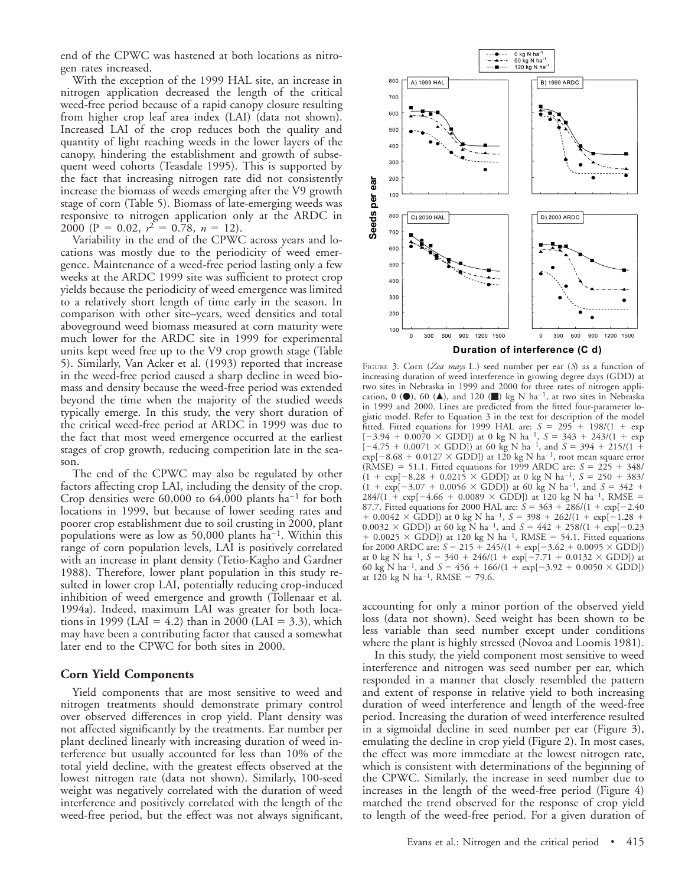end of the CPWC was hastened at both locations as nitrogen rates increased.

With the exception of the 1999 HAL site, an increase in nitrogen application decreased the length of the critical weed-free period because of a rapid canopy closure resulting from higher crop leaf area index (LAI) (data not shown). Increased LAI of the crop reduces both the quality and quantity of light reaching weeds in the lower layers of the canopy, hindering the establishment and growth of subsequent weed cohorts (Teasdale 1995). This is supported by the fact that increasing nitrogen rate did not consistently increase the biomass of weeds emerging after the V9 growth stage of corn (Table 5). Biomass of late-emerging weeds was responsive to nitrogen application only at the ARDC in 2000 (P = 0.02,  $r^2 = 0.78$ ,  $n = 12$ ).

Variability in the end of the CPWC across years and locations was mostly due to the periodicity of weed emergence. Maintenance of a weed-free period lasting only a few weeks at the ARDC 1999 site was sufficient to protect crop yields because the periodicity of weed emergence was limited to a relatively short length of time early in the season. In comparison with other site–years, weed densities and total aboveground weed biomass measured at corn maturity were much lower for the ARDC site in 1999 for experimental units kept weed free up to the V9 crop growth stage (Table 5). Similarly, Van Acker et al. (1993) reported that increase in the weed-free period caused a sharp decline in weed biomass and density because the weed-free period was extended beyond the time when the majority of the studied weeds typically emerge. In this study, the very short duration of the critical weed-free period at ARDC in 1999 was due to the fact that most weed emergence occurred at the earliest stages of crop growth, reducing competition late in the season.

The end of the CPWC may also be regulated by other factors affecting crop LAI, including the density of the crop. Crop densities were  $60,000$  to  $64,000$  plants ha<sup>-1</sup> for both locations in 1999, but because of lower seeding rates and poorer crop establishment due to soil crusting in 2000, plant populations were as low as  $50,000$  plants ha<sup>-1</sup>. Within this range of corn population levels, LAI is positively correlated with an increase in plant density (Tetio-Kagho and Gardner 1988). Therefore, lower plant population in this study resulted in lower crop LAI, potentially reducing crop-induced inhibition of weed emergence and growth (Tollenaar et al. 1994a). Indeed, maximum LAI was greater for both locations in 1999 (LAI = 4.2) than in 2000 (LAI = 3.3), which may have been a contributing factor that caused a somewhat later end to the CPWC for both sites in 2000.

#### **Corn Yield Components**

Yield components that are most sensitive to weed and nitrogen treatments should demonstrate primary control over observed differences in crop yield. Plant density was not affected significantly by the treatments. Ear number per plant declined linearly with increasing duration of weed interference but usually accounted for less than 10% of the total yield decline, with the greatest effects observed at the lowest nitrogen rate (data not shown). Similarly, 100-seed weight was negatively correlated with the duration of weed interference and positively correlated with the length of the weed-free period, but the effect was not always significant,



FIGURE 3. Corn (*Zea mays* L.) seed number per ear (*S*) as a function of increasing duration of weed interference in growing degree days (GDD) at two sites in Nebraska in 1999 and 2000 for three rates of nitrogen application, 0 ( $\bullet$ ), 60 ( $\blacktriangle$ ), and 120 ( $\blacksquare$ ) kg N ha<sup>-1</sup>, at two sites in Nebraska in 1999 and 2000. Lines are predicted from the fitted four-parameter logistic model. Refer to Equation 3 in the text for description of the model fitted. Fitted equations for 1999 HAL are:  $S = 295 + 198/(1 + \exp$  $[-3.94 + 0.0070 \times \text{GDD}]$ ) at 0 kg N ha<sup>-1</sup>,  $S = 343 + 243/(1 + \exp^{-1})$  $[-4.75 + 0.0071 \times \text{GDD}]$ ) at 60 kg N ha<sup>-1</sup>, and  $S = 394 + 215/(1 +$  $\exp[-8.68 + 0.0127 \times \text{GDD}])$  at 120 kg N ha<sup>-1</sup>, root mean square error  $(RMSE) = 51.1$ . Fitted equations for 1999 ARDC are:  $S = 225 + 348/$  $(1 + \exp[-8.28 + 0.0215 \times \text{GDD}])$  at 0 kg N ha<sup>-1</sup>,  $S = 250 + 383/$  $(1 + \exp[-3.07 + 0.0056 \times \text{GDD}])$  at 60 kg N ha<sup>-1</sup>, and  $S = 342 +$  $284/(1 + \exp[-4.66 + 0.0089 \times \text{GDD}])$  at 120 kg N ha<sup>-1</sup>, RMSE = 87.7. Fitted equations for 2000 HAL are:  $S = 363 + 286/(1 + \exp[-2.40$  $+$  0.0042  $\times$  GDD]) at 0 kg N ha<sup>-1</sup>,  $S = 398 + 262/(1 + \exp[-1.28 +$  $(0.0032 \times \text{GDD})$  at 60 kg N ha<sup>-1</sup>, and  $S = 442 + 258/(1 + \exp[-0.23])$  $+$  0.0025  $\times$  GDD]) at 120 kg N ha<sup>-1</sup>, RMSE = 54.1. Fitted equations for 2000 ARDC are:  $S = 215 + \frac{245}{(1 + \exp[-3.62 + 0.0095 \times \text{GDD}])}$ at 0 kg N ha<sup>-1</sup>,  $S = 340 + 246/(1 + \exp[-7.71 + 0.0132 \times \text{GDD}])$  at 60 kg N ha<sup>-1</sup>, and  $S = 456 + 166/(1 + \exp[-3.92 + 0.0050 \times \text{GDD}])$ at 120 kg N ha<sup>-1</sup>, RMSE = 79.6.

accounting for only a minor portion of the observed yield loss (data not shown). Seed weight has been shown to be less variable than seed number except under conditions where the plant is highly stressed (Novoa and Loomis 1981).

In this study, the yield component most sensitive to weed interference and nitrogen was seed number per ear, which responded in a manner that closely resembled the pattern and extent of response in relative yield to both increasing duration of weed interference and length of the weed-free period. Increasing the duration of weed interference resulted in a sigmoidal decline in seed number per ear (Figure 3), emulating the decline in crop yield (Figure 2). In most cases, the effect was more immediate at the lowest nitrogen rate, which is consistent with determinations of the beginning of the CPWC. Similarly, the increase in seed number due to increases in the length of the weed-free period (Figure 4) matched the trend observed for the response of crop yield to length of the weed-free period. For a given duration of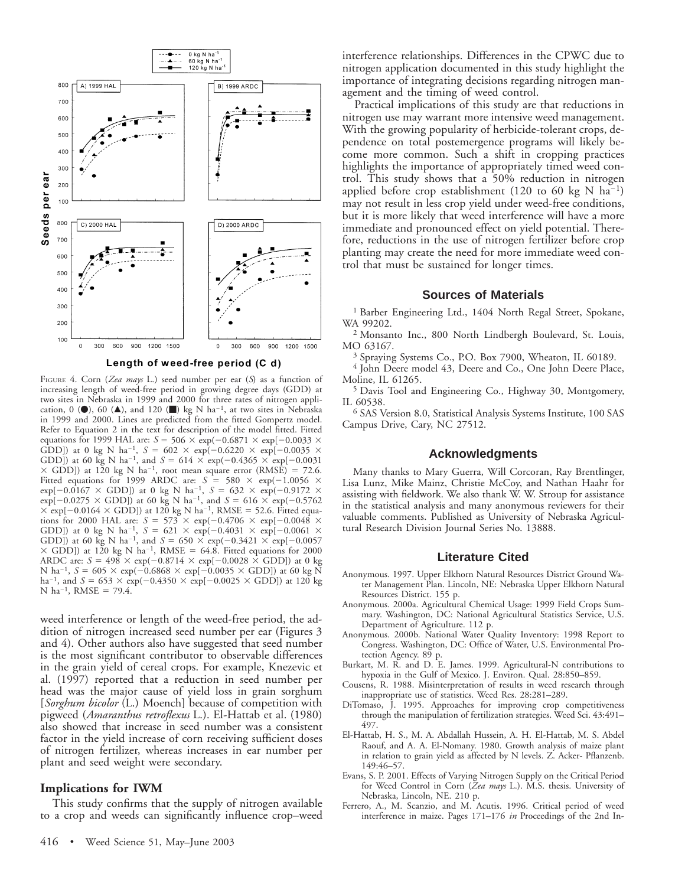



FIGURE 4. Corn (*Zea mays* L.) seed number per ear (*S*) as a function of increasing length of weed-free period in growing degree days (GDD) at two sites in Nebraska in 1999 and 2000 for three rates of nitrogen application, 0 ( $\bullet$ ), 60 ( $\blacktriangle$ ), and 120 ( $\blacksquare$ ) kg N ha<sup>-1</sup>, at two sites in Nebraska in 1999 and 2000. Lines are predicted from the fitted Gompertz model. Refer to Equation 2 in the text for description of the model fitted. Fitted equations for 1999 HAL are:  $S = 506 \times \exp(-0.6871 \times \exp[-0.0033 \times$ GDD]) at 0 kg N ha<sup>-1</sup>, *S* = 602  $\times$  exp(-0.6220  $\times$  exp[-0.0035  $\times$ GDD]) at 60 kg N ha<sup>-1</sup>, and  $S = 614 \times \exp(-0.4365 \times \exp(-0.0031$  $\times$  GDD]) at 120 kg N ha<sup>-1</sup>, root mean square error (RMSE) = 72.6. Fitted equations for 1999 ARDC are:  $S = 580 \times \exp(-1.0056 \times$  $\exp[-0.0167 \times \text{GDD}])$  at 0 kg N ha<sup>-1</sup>,  $S = 632 \times \exp(-0.9172 \times$  $\exp[-0.0275 \times \text{GDD}])$  at 60 kg N ha<sup>-1</sup>, and  $S = 616 \times \exp(-0.5762)$  $\times$  exp[-0.0164  $\times$  GDD]) at 120 kg N ha<sup>-1</sup>, RMSE = 52.6. Fitted equations for 2000 HAL are:  $S = 573 \times \exp(-0.4706 \times \exp[-0.0048 \times$ GDD]) at 0 kg N ha<sup>-1</sup>,  $S = 621 \times \exp(-0.4031 \times \exp[-0.0061 \times$ GDD]) at 60 kg N ha<sup>-1</sup>, and  $S = 650 \times \exp(-0.3421 \times \exp[-0.0057$  $\times$  GDD]) at 120 kg N ha<sup>-1</sup>, RMSE = 64.8. Fitted equations for 2000 ARDC are:  $S = 498 \times \exp(-0.8714 \times \exp[-0.0028 \times \text{GDD}])$  at 0 kg N ha<sup>-1</sup>,  $S = 605 \times \exp(-0.6868 \times \exp[-0.0035 \times \text{GDD}])$  at 60 kg N ha<sup>-1</sup>, and *S* = 653  $\times$  exp(-0.4350  $\times$  exp[-0.0025  $\times$  GDD]) at 120 kg N ha<sup>-1</sup>, RMSE = 79.4.

weed interference or length of the weed-free period, the addition of nitrogen increased seed number per ear (Figures 3 and 4). Other authors also have suggested that seed number is the most significant contributor to observable differences in the grain yield of cereal crops. For example, Knezevic et al. (1997) reported that a reduction in seed number per head was the major cause of yield loss in grain sorghum [*Sorghum bicolor* (L.) Moench] because of competition with pigweed (*Amaranthus retroflexus* L.). El-Hattab et al. (1980) also showed that increase in seed number was a consistent factor in the yield increase of corn receiving sufficient doses of nitrogen fertilizer, whereas increases in ear number per plant and seed weight were secondary.

#### **Implications for IWM**

This study confirms that the supply of nitrogen available to a crop and weeds can significantly influence crop–weed interference relationships. Differences in the CPWC due to nitrogen application documented in this study highlight the importance of integrating decisions regarding nitrogen management and the timing of weed control.

Practical implications of this study are that reductions in nitrogen use may warrant more intensive weed management. With the growing popularity of herbicide-tolerant crops, dependence on total postemergence programs will likely become more common. Such a shift in cropping practices highlights the importance of appropriately timed weed control. This study shows that a 50% reduction in nitrogen applied before crop establishment (120 to 60 kg N ha<sup>-1</sup>) may not result in less crop yield under weed-free conditions, but it is more likely that weed interference will have a more immediate and pronounced effect on yield potential. Therefore, reductions in the use of nitrogen fertilizer before crop planting may create the need for more immediate weed control that must be sustained for longer times.

#### **Sources of Materials**

<sup>1</sup> Barber Engineering Ltd., 1404 North Regal Street, Spokane, WA 99202.

<sup>2</sup> Monsanto Inc., 800 North Lindbergh Boulevard, St. Louis, MO 63167.

<sup>3</sup> Spraying Systems Co., P.O. Box 7900, Wheaton, IL 60189.

<sup>4</sup> John Deere model 43, Deere and Co., One John Deere Place, Moline, IL 61265.

<sup>5</sup> Davis Tool and Engineering Co., Highway 30, Montgomery, IL 60538.

<sup>6</sup> SAS Version 8.0, Statistical Analysis Systems Institute, 100 SAS Campus Drive, Cary, NC 27512.

#### **Acknowledgments**

Many thanks to Mary Guerra, Will Corcoran, Ray Brentlinger, Lisa Lunz, Mike Mainz, Christie McCoy, and Nathan Haahr for assisting with fieldwork. We also thank W. W. Stroup for assistance in the statistical analysis and many anonymous reviewers for their valuable comments. Published as University of Nebraska Agricultural Research Division Journal Series No. 13888.

#### **Literature Cited**

- Anonymous. 1997. Upper Elkhorn Natural Resources District Ground Water Management Plan. Lincoln, NE: Nebraska Upper Elkhorn Natural Resources District. 155 p.
- Anonymous. 2000a. Agricultural Chemical Usage: 1999 Field Crops Summary. Washington, DC: National Agricultural Statistics Service, U.S. Department of Agriculture. 112 p.
- Anonymous. 2000b. National Water Quality Inventory: 1998 Report to Congress. Washington, DC: Office of Water, U.S. Environmental Protection Agency. 89 p.
- Burkart, M. R. and D. E. James. 1999. Agricultural-N contributions to hypoxia in the Gulf of Mexico. J. Environ. Qual. 28:850–859.
- Cousens, R. 1988. Misinterpretation of results in weed research through inappropriate use of statistics. Weed Res. 28:281–289.
- DiTomaso, J. 1995. Approaches for improving crop competitiveness through the manipulation of fertilization strategies. Weed Sci. 43:491– 497.
- El-Hattab, H. S., M. A. Abdallah Hussein, A. H. El-Hattab, M. S. Abdel Raouf, and A. A. El-Nomany. 1980. Growth analysis of maize plant in relation to grain yield as affected by N levels. Z. Acker- Pflanzenb. 149:46–57.
- Evans, S. P. 2001. Effects of Varying Nitrogen Supply on the Critical Period for Weed Control in Corn (*Zea mays* L.). M.S. thesis. University of Nebraska, Lincoln, NE. 210 p.
- Ferrero, A., M. Scanzio, and M. Acutis. 1996. Critical period of weed interference in maize. Pages 171–176 *in* Proceedings of the 2nd In-